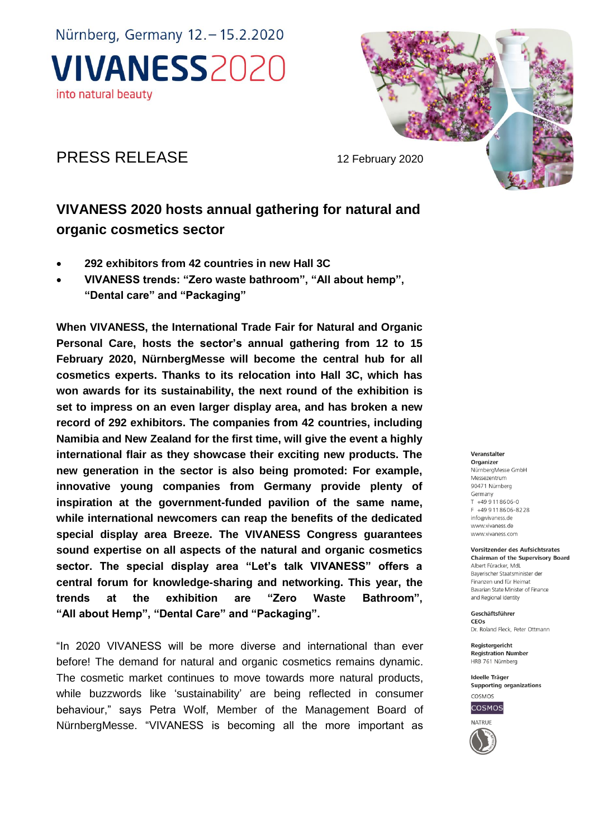Nürnberg, Germany 12. - 15.2.2020 **VIVANESS2020** into natural beauty



## PRESS RELEASE 12 February 2020

# **VIVANESS 2020 hosts annual gathering for natural and organic cosmetics sector**

- **292 exhibitors from 42 countries in new Hall 3C**
- **VIVANESS trends: "Zero waste bathroom", "All about hemp", "Dental care" and "Packaging"**

**When VIVANESS, the International Trade Fair for Natural and Organic Personal Care, hosts the sector's annual gathering from 12 to 15 February 2020, NürnbergMesse will become the central hub for all cosmetics experts. Thanks to its relocation into Hall 3C, which has won awards for its sustainability, the next round of the exhibition is set to impress on an even larger display area, and has broken a new record of 292 exhibitors. The companies from 42 countries, including Namibia and New Zealand for the first time, will give the event a highly international flair as they showcase their exciting new products. The new generation in the sector is also being promoted: For example, innovative young companies from Germany provide plenty of inspiration at the government-funded pavilion of the same name, while international newcomers can reap the benefits of the dedicated special display area Breeze. The VIVANESS Congress guarantees sound expertise on all aspects of the natural and organic cosmetics sector. The special display area "Let's talk VIVANESS" offers a central forum for knowledge-sharing and networking. This year, the trends at the exhibition are "Zero Waste Bathroom", "All about Hemp", "Dental Care" and "Packaging".**

"In 2020 VIVANESS will be more diverse and international than ever before! The demand for natural and organic cosmetics remains dynamic. The cosmetic market continues to move towards more natural products, while buzzwords like 'sustainability' are being reflected in consumer behaviour," says Petra Wolf, Member of the Management Board of NürnbergMesse. "VIVANESS is becoming all the more important as

#### Veranstalter

Organizer NürnberaMesse GmbH Messezentrum 90471 Nürnberg Germany  $T + 499118606 - 0$  $F = \pm AQ$  Q 11 8606-8228 info@vivaness.de www.vivaness.de www.vivaness.com

#### Vorsitzender des Aufsichtsrates

**Chairman of the Supervisory Board** Albert Füracker MdL Bayerischer Staatsminister der Finanzen und für Heimat Bavarian State Minister of Finance and Regional Identity

Geschäftsführer CEOS Dr. Roland Fleck, Peter Ottmann

Registergericht **Registration Number** HRB 761 Nürnberg

Ideelle Träger Supporting organizations



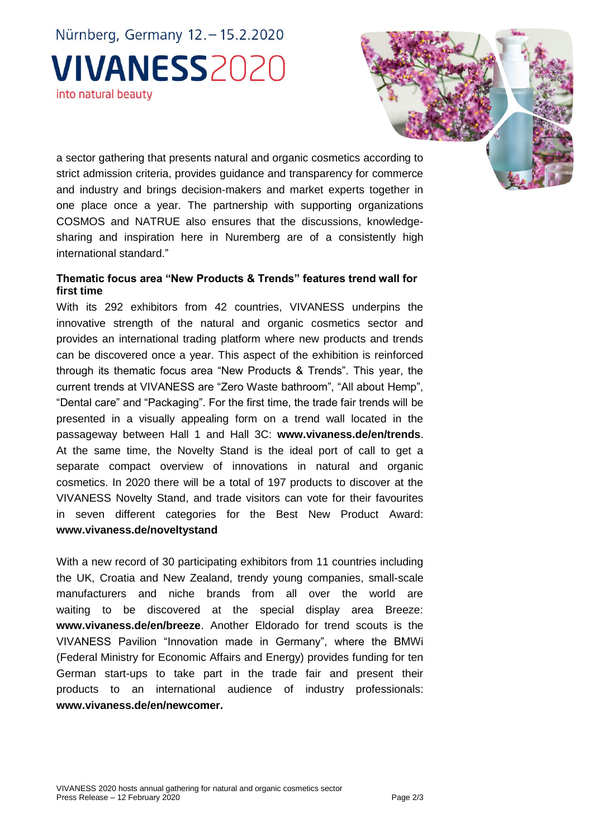Nürnberg, Germany 12. - 15.2.2020 **VIVANESS2020** into natural beauty

a sector gathering that presents natural and organic cosmetics according to strict admission criteria, provides guidance and transparency for commerce and industry and brings decision-makers and market experts together in one place once a year. The partnership with supporting organizations COSMOS and NATRUE also ensures that the discussions, knowledgesharing and inspiration here in Nuremberg are of a consistently high international standard."

### **Thematic focus area "New Products & Trends" features trend wall for first time**

With its 292 exhibitors from 42 countries, VIVANESS underpins the innovative strength of the natural and organic cosmetics sector and provides an international trading platform where new products and trends can be discovered once a year. This aspect of the exhibition is reinforced through its thematic focus area "New Products & Trends". This year, the current trends at VIVANESS are "Zero Waste bathroom", "All about Hemp", "Dental care" and "Packaging". For the first time, the trade fair trends will be presented in a visually appealing form on a trend wall located in the passageway between Hall 1 and Hall 3C: **www.vivaness.de/en/trends**. At the same time, the Novelty Stand is the ideal port of call to get a separate compact overview of innovations in natural and organic cosmetics. In 2020 there will be a total of 197 products to discover at the VIVANESS Novelty Stand, and trade visitors can vote for their favourites in seven different categories for the Best New Product Award: **[www.vivaness.de/noveltystand](http://www.vivaness.de/noveltystand)**

With a new record of 30 participating exhibitors from 11 countries including the UK, Croatia and New Zealand, trendy young companies, small-scale manufacturers and niche brands from all over the world are waiting to be discovered at the special display area Breeze: **www.vivaness.de/en/breeze**. Another Eldorado for trend scouts is the VIVANESS Pavilion "Innovation made in Germany", where the BMWi (Federal Ministry for Economic Affairs and Energy) provides funding for ten German start-ups to take part in the trade fair and present their products to an international audience of industry professionals: **www.vivaness.de/en/newcomer.**